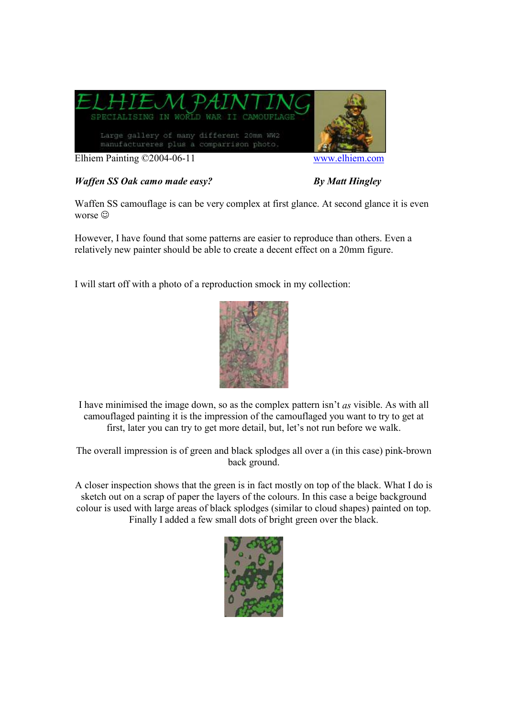

## *Waffen SS Oak camo made easy?* By Matt Hingley

Waffen SS camouflage is can be very complex at first glance. At second glance it is even worse  $\odot$ 

However, I have found that some patterns are easier to reproduce than others. Even a relatively new painter should be able to create a decent effect on a 20mm figure.

I will start off with a photo of a reproduction smock in my collection:



I have minimised the image down, so as the complex pattern isn't *as* visible. As with all camouflaged painting it is the impression of the camouflaged you want to try to get at first, later you can try to get more detail, but, let's not run before we walk.

The overall impression is of green and black splodges all over a (in this case) pink-brown back ground.

A closer inspection shows that the green is in fact mostly on top of the black. What I do is sketch out on a scrap of paper the layers of the colours. In this case a beige background colour is used with large areas of black splodges (similar to cloud shapes) painted on top. Finally I added a few small dots of bright green over the black.